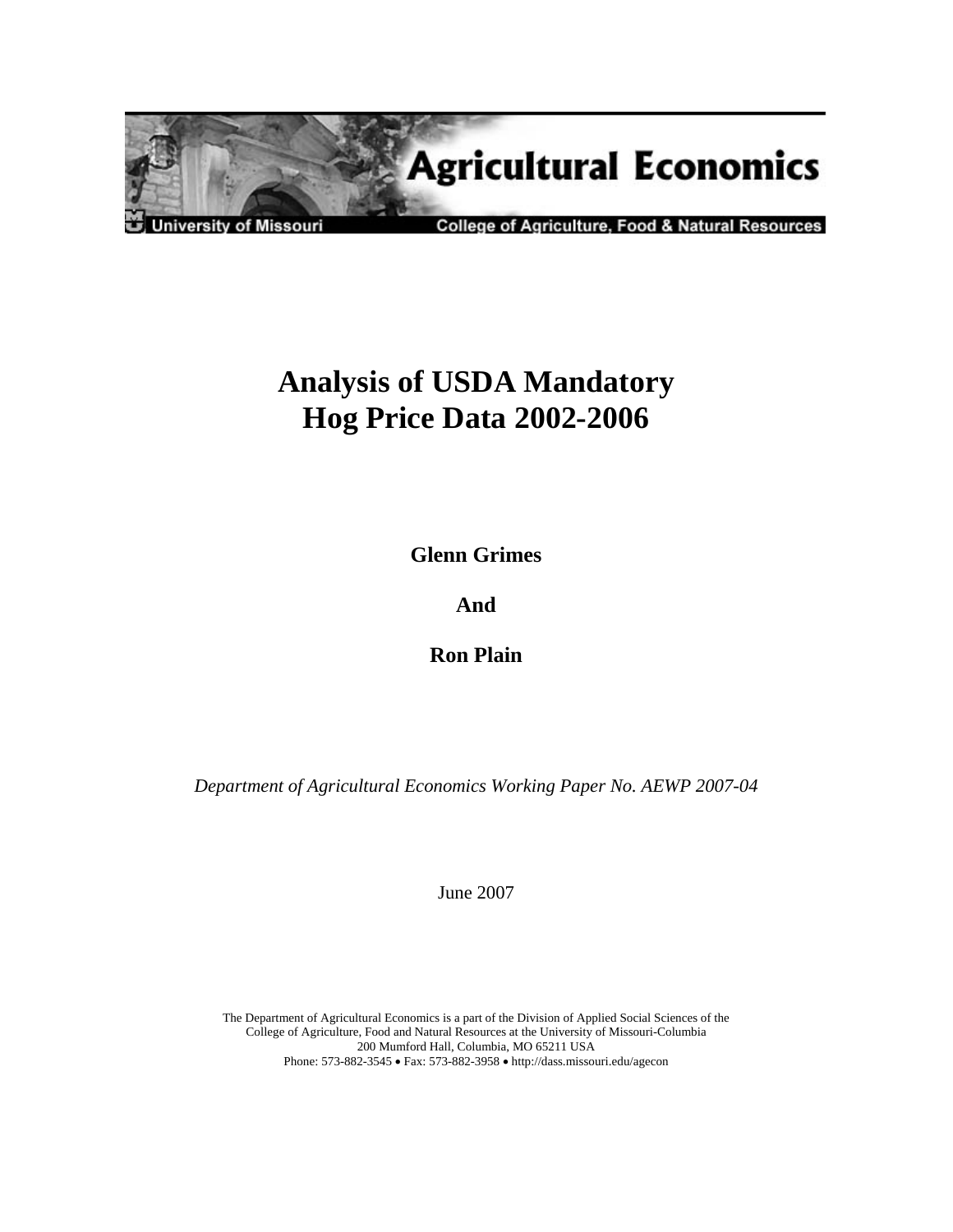

# **Analysis of USDA Mandatory Hog Price Data 2002-2006**

**Glenn Grimes** 

**And** 

**Ron Plain** 

*Department of Agricultural Economics Working Paper No. AEWP 2007-04* 

June 2007

The Department of Agricultural Economics is a part of the Division of Applied Social Sciences of the College of Agriculture, Food and Natural Resources at the University of Missouri-Columbia 200 Mumford Hall, Columbia, MO 65211 USA Phone: 573-882-3545 • Fax: 573-882-3958 • http://dass.missouri.edu/agecon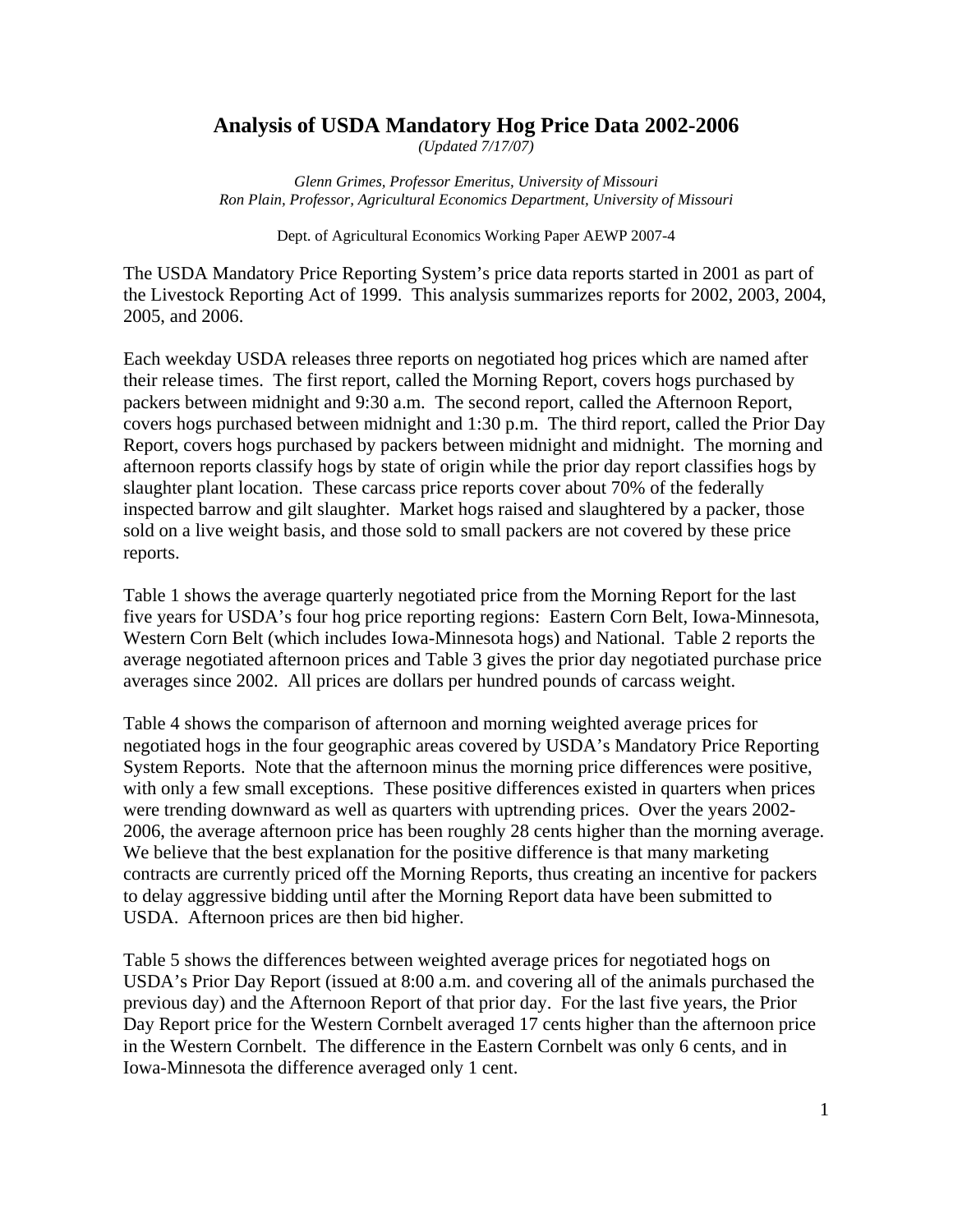#### **Analysis of USDA Mandatory Hog Price Data 2002-2006**

*(Updated 7/17/07)* 

*Glenn Grimes, Professor Emeritus, University of Missouri Ron Plain, Professor, Agricultural Economics Department, University of Missouri* 

Dept. of Agricultural Economics Working Paper AEWP 2007-4

The USDA Mandatory Price Reporting System's price data reports started in 2001 as part of the Livestock Reporting Act of 1999. This analysis summarizes reports for 2002, 2003, 2004, 2005, and 2006.

Each weekday USDA releases three reports on negotiated hog prices which are named after their release times. The first report, called the Morning Report, covers hogs purchased by packers between midnight and 9:30 a.m. The second report, called the Afternoon Report, covers hogs purchased between midnight and 1:30 p.m. The third report, called the Prior Day Report, covers hogs purchased by packers between midnight and midnight. The morning and afternoon reports classify hogs by state of origin while the prior day report classifies hogs by slaughter plant location. These carcass price reports cover about 70% of the federally inspected barrow and gilt slaughter. Market hogs raised and slaughtered by a packer, those sold on a live weight basis, and those sold to small packers are not covered by these price reports.

Table 1 shows the average quarterly negotiated price from the Morning Report for the last five years for USDA's four hog price reporting regions: Eastern Corn Belt, Iowa-Minnesota, Western Corn Belt (which includes Iowa-Minnesota hogs) and National. Table 2 reports the average negotiated afternoon prices and Table 3 gives the prior day negotiated purchase price averages since 2002. All prices are dollars per hundred pounds of carcass weight.

Table 4 shows the comparison of afternoon and morning weighted average prices for negotiated hogs in the four geographic areas covered by USDA's Mandatory Price Reporting System Reports. Note that the afternoon minus the morning price differences were positive, with only a few small exceptions. These positive differences existed in quarters when prices were trending downward as well as quarters with uptrending prices. Over the years 2002- 2006, the average afternoon price has been roughly 28 cents higher than the morning average. We believe that the best explanation for the positive difference is that many marketing contracts are currently priced off the Morning Reports, thus creating an incentive for packers to delay aggressive bidding until after the Morning Report data have been submitted to USDA. Afternoon prices are then bid higher.

Table 5 shows the differences between weighted average prices for negotiated hogs on USDA's Prior Day Report (issued at 8:00 a.m. and covering all of the animals purchased the previous day) and the Afternoon Report of that prior day. For the last five years, the Prior Day Report price for the Western Cornbelt averaged 17 cents higher than the afternoon price in the Western Cornbelt. The difference in the Eastern Cornbelt was only 6 cents, and in Iowa-Minnesota the difference averaged only 1 cent.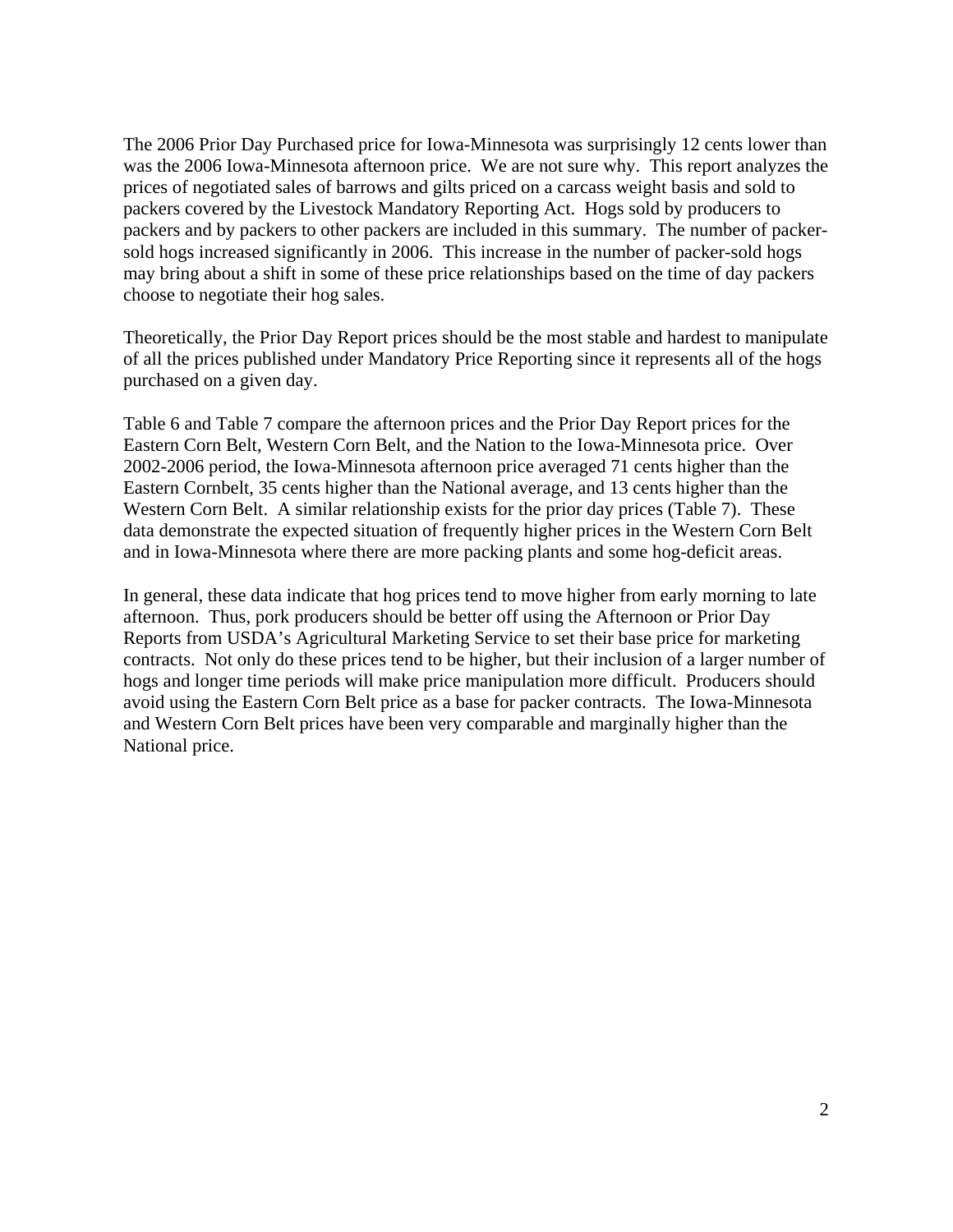The 2006 Prior Day Purchased price for Iowa-Minnesota was surprisingly 12 cents lower than was the 2006 Iowa-Minnesota afternoon price. We are not sure why. This report analyzes the prices of negotiated sales of barrows and gilts priced on a carcass weight basis and sold to packers covered by the Livestock Mandatory Reporting Act. Hogs sold by producers to packers and by packers to other packers are included in this summary. The number of packersold hogs increased significantly in 2006. This increase in the number of packer-sold hogs may bring about a shift in some of these price relationships based on the time of day packers choose to negotiate their hog sales.

Theoretically, the Prior Day Report prices should be the most stable and hardest to manipulate of all the prices published under Mandatory Price Reporting since it represents all of the hogs purchased on a given day.

Table 6 and Table 7 compare the afternoon prices and the Prior Day Report prices for the Eastern Corn Belt, Western Corn Belt, and the Nation to the Iowa-Minnesota price. Over 2002-2006 period, the Iowa-Minnesota afternoon price averaged 71 cents higher than the Eastern Cornbelt, 35 cents higher than the National average, and 13 cents higher than the Western Corn Belt. A similar relationship exists for the prior day prices (Table 7). These data demonstrate the expected situation of frequently higher prices in the Western Corn Belt and in Iowa-Minnesota where there are more packing plants and some hog-deficit areas.

In general, these data indicate that hog prices tend to move higher from early morning to late afternoon. Thus, pork producers should be better off using the Afternoon or Prior Day Reports from USDA's Agricultural Marketing Service to set their base price for marketing contracts. Not only do these prices tend to be higher, but their inclusion of a larger number of hogs and longer time periods will make price manipulation more difficult. Producers should avoid using the Eastern Corn Belt price as a base for packer contracts. The Iowa-Minnesota and Western Corn Belt prices have been very comparable and marginally higher than the National price.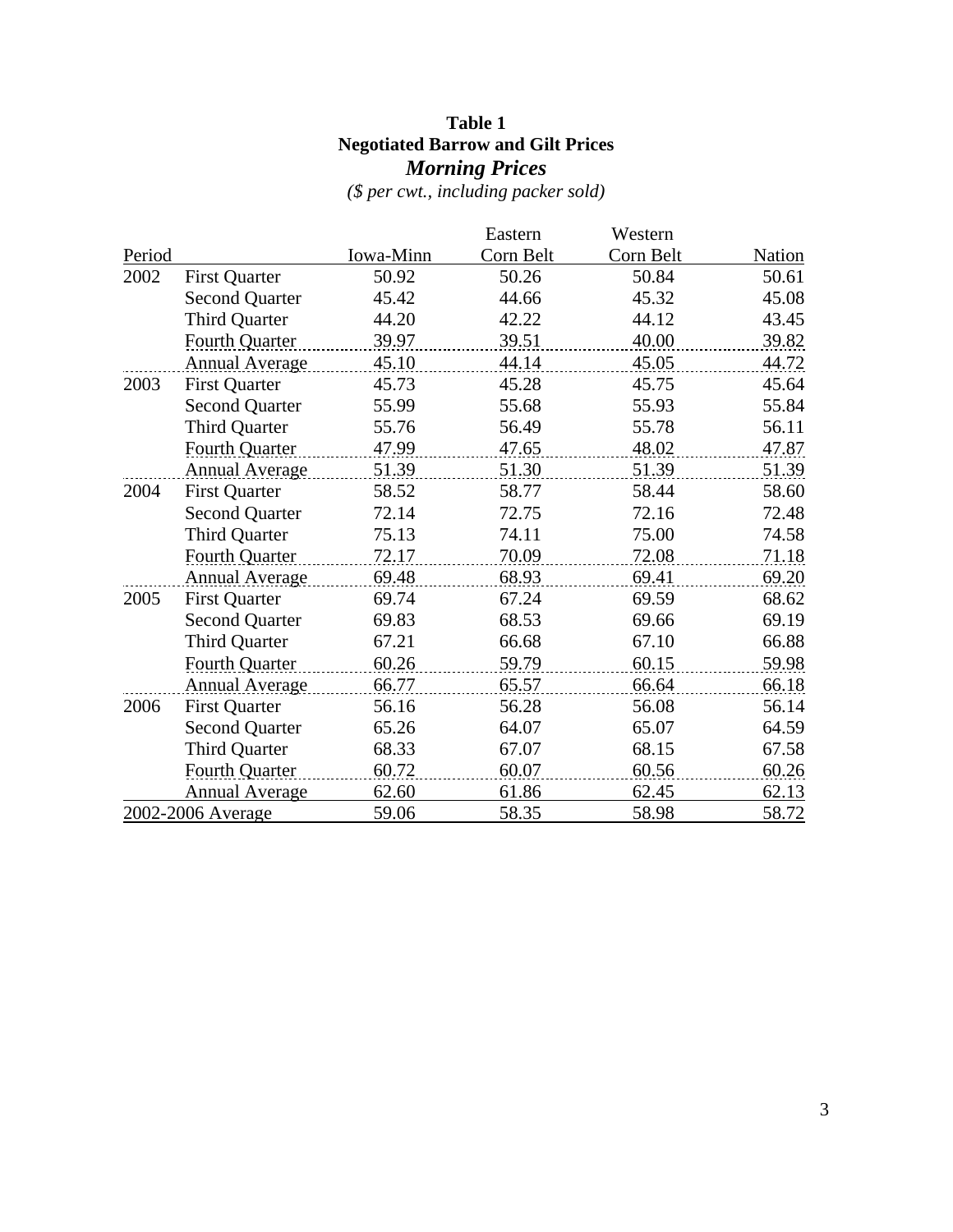## **Table 1 Negotiated Barrow and Gilt Prices**  *Morning Prices*

|        |                       |           | Eastern   | Western   |        |
|--------|-----------------------|-----------|-----------|-----------|--------|
| Period |                       | Iowa-Minn | Corn Belt | Corn Belt | Nation |
| 2002   | <b>First Quarter</b>  | 50.92     | 50.26     | 50.84     | 50.61  |
|        | <b>Second Quarter</b> | 45.42     | 44.66     | 45.32     | 45.08  |
|        | <b>Third Quarter</b>  | 44.20     | 42.22     | 44.12     | 43.45  |
|        | <b>Fourth Quarter</b> | 39.97     | 39.51     | 40.00     | 39.82  |
|        | <b>Annual Average</b> | 45.10     | 44.14     | 45.05     | 44.72  |
| 2003   | <b>First Quarter</b>  | 45.73     | 45.28     | 45.75     | 45.64  |
|        | <b>Second Quarter</b> | 55.99     | 55.68     | 55.93     | 55.84  |
|        | <b>Third Quarter</b>  | 55.76     | 56.49     | 55.78     | 56.11  |
|        | <b>Fourth Quarter</b> | 47.99     | 47.65     | 48.02     | 47.87  |
|        | <b>Annual Average</b> | 51.39     | 51.30     | 51.39     | 51.39  |
| 2004   | <b>First Quarter</b>  | 58.52     | 58.77     | 58.44     | 58.60  |
|        | <b>Second Quarter</b> | 72.14     | 72.75     | 72.16     | 72.48  |
|        | <b>Third Quarter</b>  | 75.13     | 74.11     | 75.00     | 74.58  |
|        | <b>Fourth Quarter</b> | 72.17     | 70.09     | 72.08     | 71.18  |
|        | <b>Annual Average</b> | 69.48     | 68.93     | 69.41     | 69.20  |
| 2005   | <b>First Quarter</b>  | 69.74     | 67.24     | 69.59     | 68.62  |
|        | <b>Second Quarter</b> | 69.83     | 68.53     | 69.66     | 69.19  |
|        | <b>Third Quarter</b>  | 67.21     | 66.68     | 67.10     | 66.88  |
|        | <b>Fourth Quarter</b> | 60.26     | 59.79     | 60.15     | 59.98  |
|        | <b>Annual Average</b> | 66.77     | 65.57     | 66.64     | 66.18  |
| 2006   | <b>First Quarter</b>  | 56.16     | 56.28     | 56.08     | 56.14  |
|        | <b>Second Quarter</b> | 65.26     | 64.07     | 65.07     | 64.59  |
|        | <b>Third Quarter</b>  | 68.33     | 67.07     | 68.15     | 67.58  |
|        | <b>Fourth Quarter</b> | 60.72     | 60.07     | 60.56     | 60.26  |
|        | <b>Annual Average</b> | 62.60     | 61.86     | 62.45     | 62.13  |
|        | 2002-2006 Average     | 59.06     | 58.35     | 58.98     | 58.72  |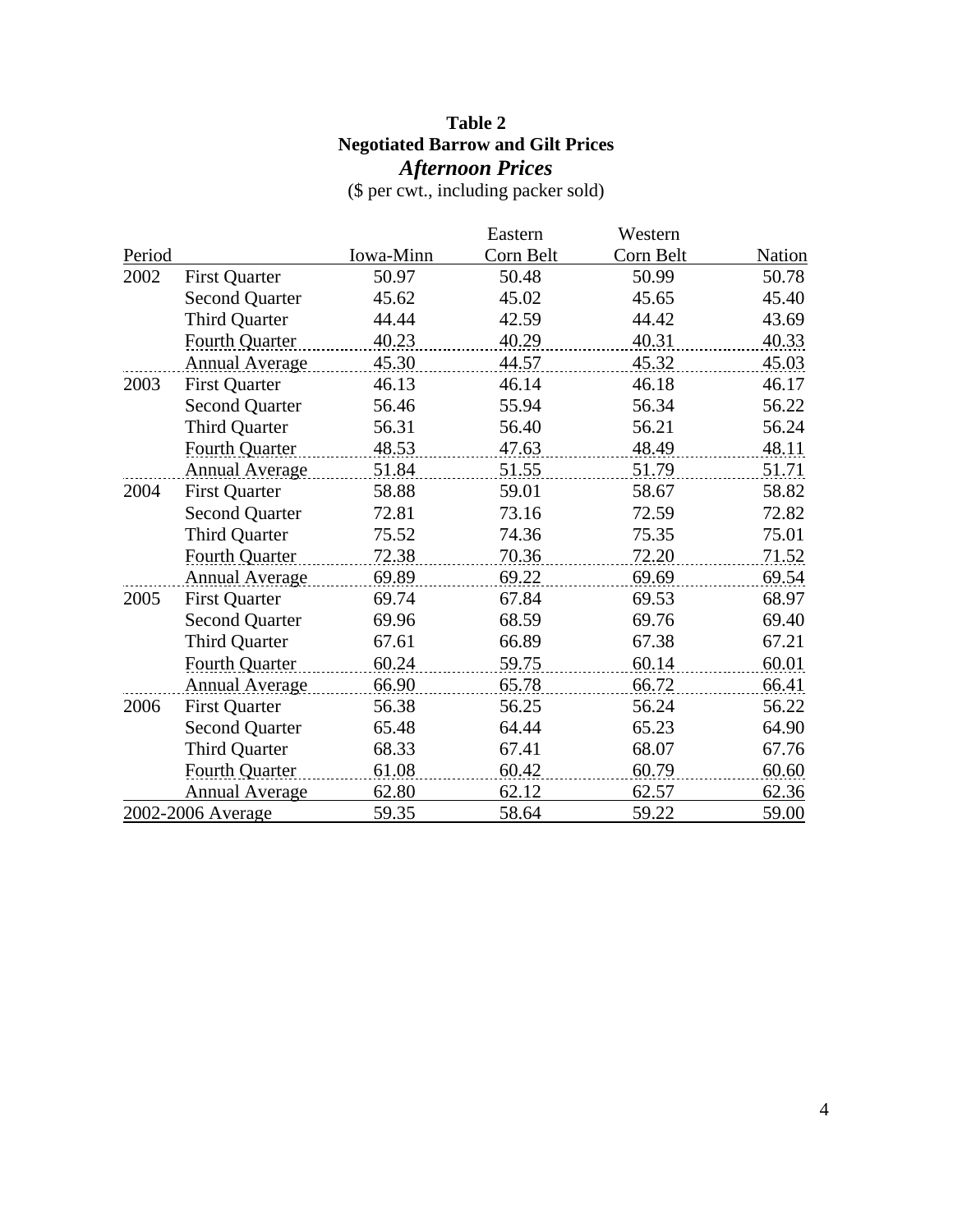## **Table 2 Negotiated Barrow and Gilt Prices**  *Afternoon Prices*

|        |                       |           | Eastern   | Western   |        |
|--------|-----------------------|-----------|-----------|-----------|--------|
| Period |                       | Iowa-Minn | Corn Belt | Corn Belt | Nation |
| 2002   | <b>First Quarter</b>  | 50.97     | 50.48     | 50.99     | 50.78  |
|        | <b>Second Quarter</b> | 45.62     | 45.02     | 45.65     | 45.40  |
|        | <b>Third Quarter</b>  | 44.44     | 42.59     | 44.42     | 43.69  |
|        | <b>Fourth Quarter</b> | 40.23     | 40.29     | 40.31     | 40.33  |
|        | <b>Annual Average</b> | 45.30     | 44.57     | 45.32     | 45.03  |
| 2003   | <b>First Quarter</b>  | 46.13     | 46.14     | 46.18     | 46.17  |
|        | <b>Second Quarter</b> | 56.46     | 55.94     | 56.34     | 56.22  |
|        | <b>Third Quarter</b>  | 56.31     | 56.40     | 56.21     | 56.24  |
|        | <b>Fourth Quarter</b> | 48.53     | 47.63     | 48.49     | 48.11  |
|        | <b>Annual Average</b> | 51.84     | 51.55     | 51.79     | 51.71  |
| 2004   | <b>First Quarter</b>  | 58.88     | 59.01     | 58.67     | 58.82  |
|        | <b>Second Quarter</b> | 72.81     | 73.16     | 72.59     | 72.82  |
|        | <b>Third Quarter</b>  | 75.52     | 74.36     | 75.35     | 75.01  |
|        | <b>Fourth Quarter</b> | 72.38     | 70.36     | 72.20     | 71.52  |
|        | <b>Annual Average</b> | 69.89     | 69.22     | 69.69     | 69.54  |
| 2005   | <b>First Quarter</b>  | 69.74     | 67.84     | 69.53     | 68.97  |
|        | <b>Second Quarter</b> | 69.96     | 68.59     | 69.76     | 69.40  |
|        | <b>Third Quarter</b>  | 67.61     | 66.89     | 67.38     | 67.21  |
|        | <b>Fourth Quarter</b> | 60.24     | 59.75     | 60.14     | 60.01  |
|        | <b>Annual Average</b> | 66.90     | 65.78     | 66.72     | 66.41  |
| 2006   | <b>First Quarter</b>  | 56.38     | 56.25     | 56.24     | 56.22  |
|        | <b>Second Quarter</b> | 65.48     | 64.44     | 65.23     | 64.90  |
|        | <b>Third Quarter</b>  | 68.33     | 67.41     | 68.07     | 67.76  |
|        | <b>Fourth Quarter</b> | 61.08     | 60.42     | 60.79     | 60.60  |
|        | <b>Annual Average</b> | 62.80     | 62.12     | 62.57     | 62.36  |
|        | 2002-2006 Average     | 59.35     | 58.64     | 59.22     | 59.00  |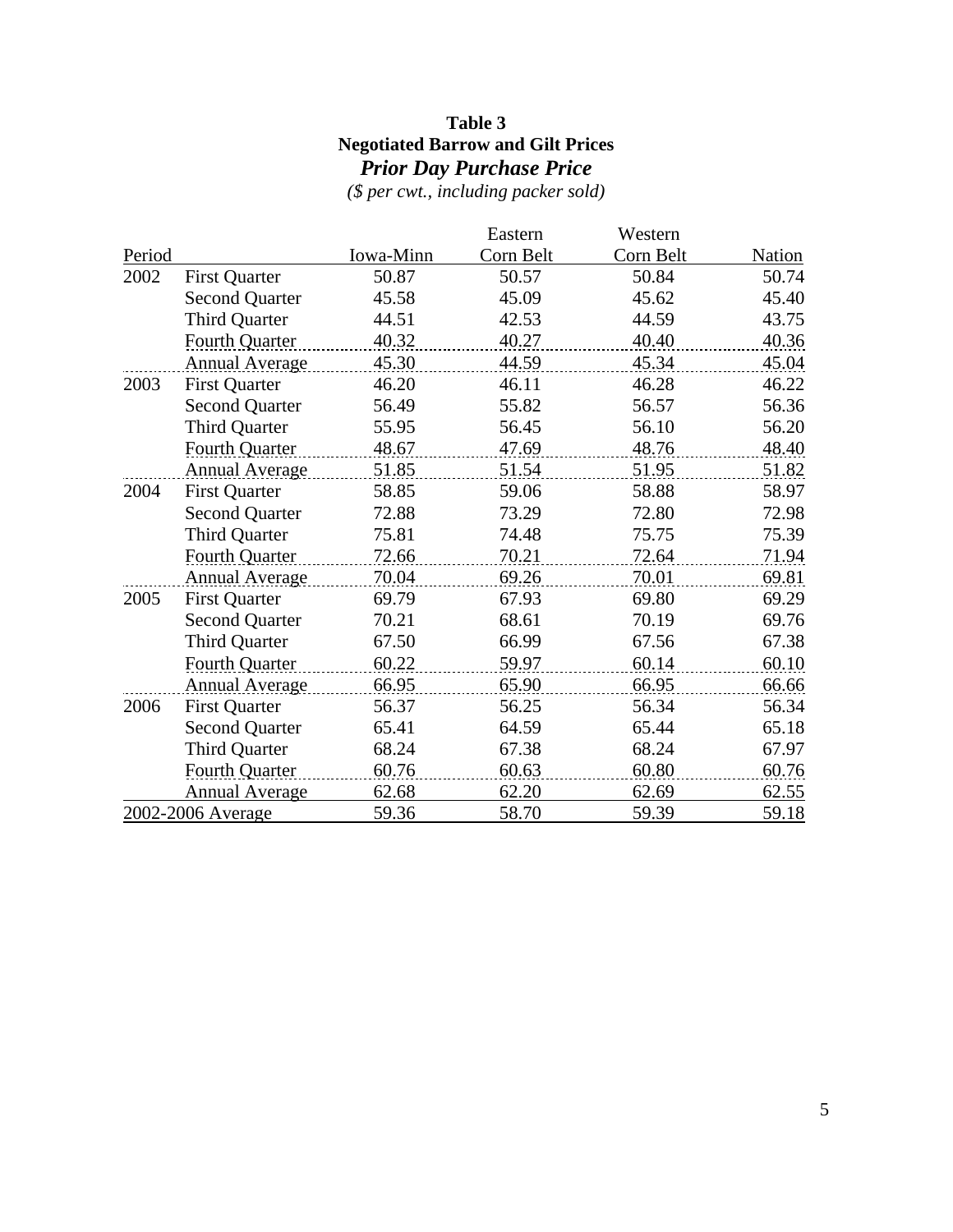# **Table 3 Negotiated Barrow and Gilt Prices**  *Prior Day Purchase Price*

|        |                       |           | Eastern   | Western   |              |
|--------|-----------------------|-----------|-----------|-----------|--------------|
| Period |                       | Iowa-Minn | Corn Belt | Corn Belt | Nation       |
| 2002   | <b>First Quarter</b>  | 50.87     | 50.57     | 50.84     | 50.74        |
|        | <b>Second Quarter</b> | 45.58     | 45.09     | 45.62     | 45.40        |
|        | Third Quarter         | 44.51     | 42.53     | 44.59     | 43.75        |
|        | <b>Fourth Quarter</b> | 40.32     | 40.27     | 40.40     | 40.36        |
|        | <b>Annual Average</b> | 45.30     | 44.59     | 45.34     | 45.04        |
| 2003   | <b>First Quarter</b>  | 46.20     | 46.11     | 46.28     | 46.22        |
|        | <b>Second Quarter</b> | 56.49     | 55.82     | 56.57     | 56.36        |
|        | <b>Third Quarter</b>  | 55.95     | 56.45     | 56.10     | 56.20        |
|        | Fourth Quarter        | 48.67     | 47.69     | 48.76     | 48.40        |
|        | <b>Annual Average</b> | 51.85     | 51.54     | 51.95     | 51.82        |
| 2004   | <b>First Quarter</b>  | 58.85     | 59.06     | 58.88     | 58.97        |
|        | <b>Second Quarter</b> | 72.88     | 73.29     | 72.80     | 72.98        |
|        | <b>Third Quarter</b>  | 75.81     | 74.48     | 75.75     | 75.39        |
|        | Fourth Quarter        | 72.66     | 70.21     | 72.64     | 71.94        |
|        | <b>Annual Average</b> | 70.04     | 69.26     | 70.01     | 69.81        |
| 2005   | <b>First Quarter</b>  | 69.79     | 67.93     | 69.80     | 69.29        |
|        | <b>Second Quarter</b> | 70.21     | 68.61     | 70.19     | 69.76        |
|        | <b>Third Quarter</b>  | 67.50     | 66.99     | 67.56     | 67.38        |
|        | <b>Fourth Quarter</b> | 60.22     | 59.97     | 60.14     | 60.10        |
|        | <b>Annual Average</b> | 66.95     | 65.90     | 66.95     | 66.66        |
| 2006   | <b>First Quarter</b>  | 56.37     | 56.25     | 56.34     | 56.34        |
|        | <b>Second Quarter</b> | 65.41     | 64.59     | 65.44     | 65.18        |
|        | <b>Third Quarter</b>  | 68.24     | 67.38     | 68.24     | 67.97        |
|        | <b>Fourth Quarter</b> | 60.76     | 60.63     | 60.80     | 60.76        |
|        | <b>Annual Average</b> | 62.68     | 62.20     | 62.69     | 62.55        |
|        | 2002-2006 Average     | 59.36     | 58.70     | 59.39     | <u>59.18</u> |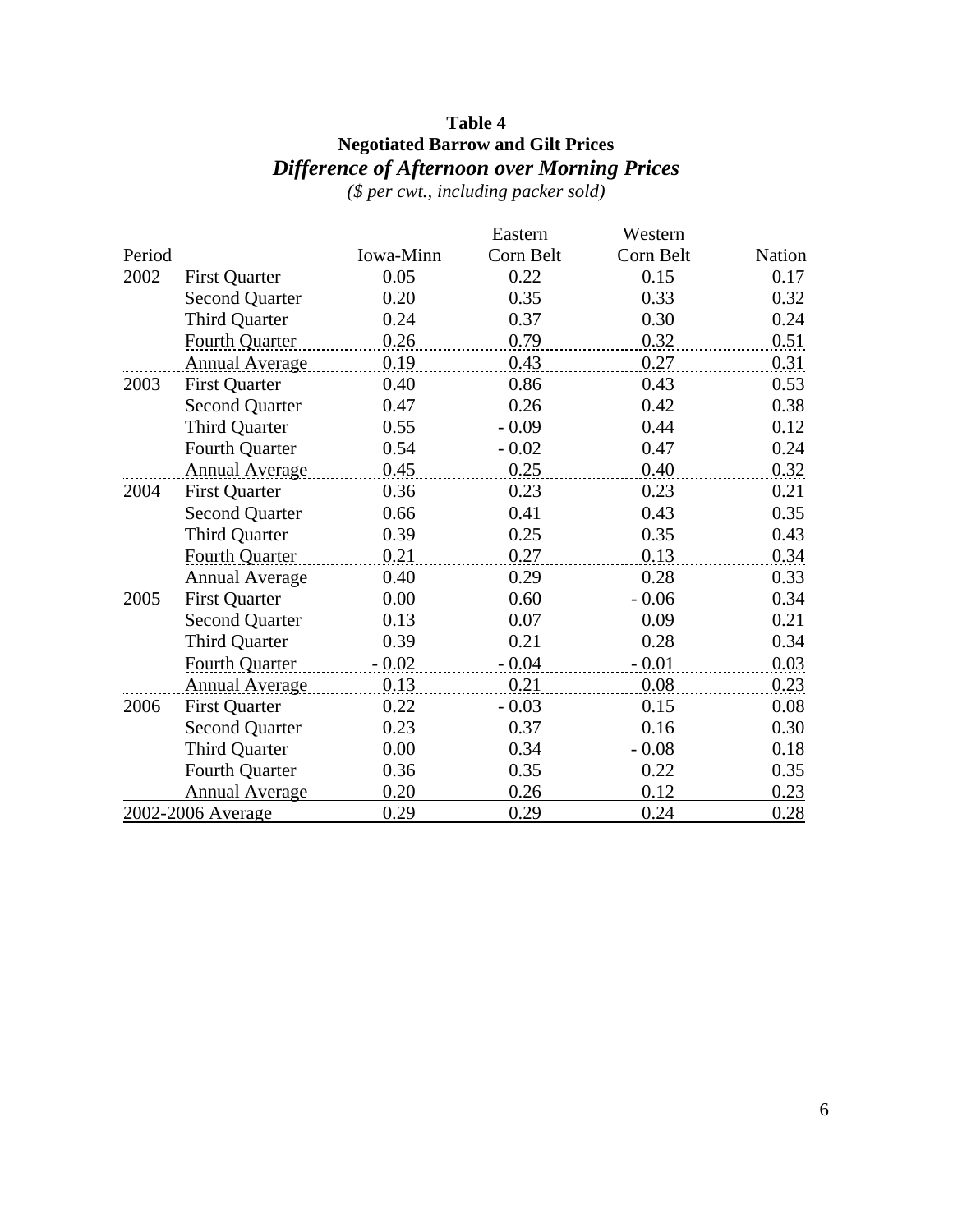## **Table 4 Negotiated Barrow and Gilt Prices**  *Difference of Afternoon over Morning Prices*

|        |                       |                  | Eastern   | Western   |        |
|--------|-----------------------|------------------|-----------|-----------|--------|
| Period |                       | <b>Iowa-Minn</b> | Corn Belt | Corn Belt | Nation |
| 2002   | <b>First Quarter</b>  | 0.05             | 0.22      | 0.15      | 0.17   |
|        | <b>Second Quarter</b> | 0.20             | 0.35      | 0.33      | 0.32   |
|        | <b>Third Quarter</b>  | 0.24             | 0.37      | 0.30      | 0.24   |
|        | <b>Fourth Quarter</b> | 0.26             | 0.79      | 0.32      | 0.51   |
|        | <b>Annual Average</b> | 0.19             | 0.43      | 0.27      | 0.31   |
| 2003   | <b>First Quarter</b>  | 0.40             | 0.86      | 0.43      | 0.53   |
|        | <b>Second Quarter</b> | 0.47             | 0.26      | 0.42      | 0.38   |
|        | <b>Third Quarter</b>  | 0.55             | $-0.09$   | 0.44      | 0.12   |
|        | <b>Fourth Quarter</b> | 0.54             | $-0.02$   | 0.47      | 0.24   |
|        | <b>Annual Average</b> | 0.45             | 0.25      | 0.40      | 0.32   |
| 2004   | <b>First Quarter</b>  | 0.36             | 0.23      | 0.23      | 0.21   |
|        | <b>Second Quarter</b> | 0.66             | 0.41      | 0.43      | 0.35   |
|        | <b>Third Quarter</b>  | 0.39             | 0.25      | 0.35      | 0.43   |
|        | <b>Fourth Quarter</b> | 0.21             | 0.27      | 0.13      | 0.34   |
|        | <b>Annual Average</b> | 0.40             | 0.29      | 0.28      | 0.33   |
| 2005   | <b>First Quarter</b>  | 0.00             | 0.60      | $-0.06$   | 0.34   |
|        | <b>Second Quarter</b> | 0.13             | 0.07      | 0.09      | 0.21   |
|        | <b>Third Quarter</b>  | 0.39             | 0.21      | 0.28      | 0.34   |
|        | <b>Fourth Quarter</b> | $-0.02$          | $-0.04$   | $-0.01$   | 0.03   |
|        | <b>Annual Average</b> | 0.13             | 0.21      | 0.08      | 0.23   |
| 2006   | <b>First Quarter</b>  | 0.22             | $-0.03$   | 0.15      | 0.08   |
|        | <b>Second Quarter</b> | 0.23             | 0.37      | 0.16      | 0.30   |
|        | Third Quarter         | 0.00             | 0.34      | $-0.08$   | 0.18   |
|        | <b>Fourth Quarter</b> | 0.36             | 0.35      | 0.22      | 0.35   |
|        | <b>Annual Average</b> | 0.20             | 0.26      | 0.12      | 0.23   |
|        | 2002-2006 Average     | 0.29             | 0.29      | 0.24      | 0.28   |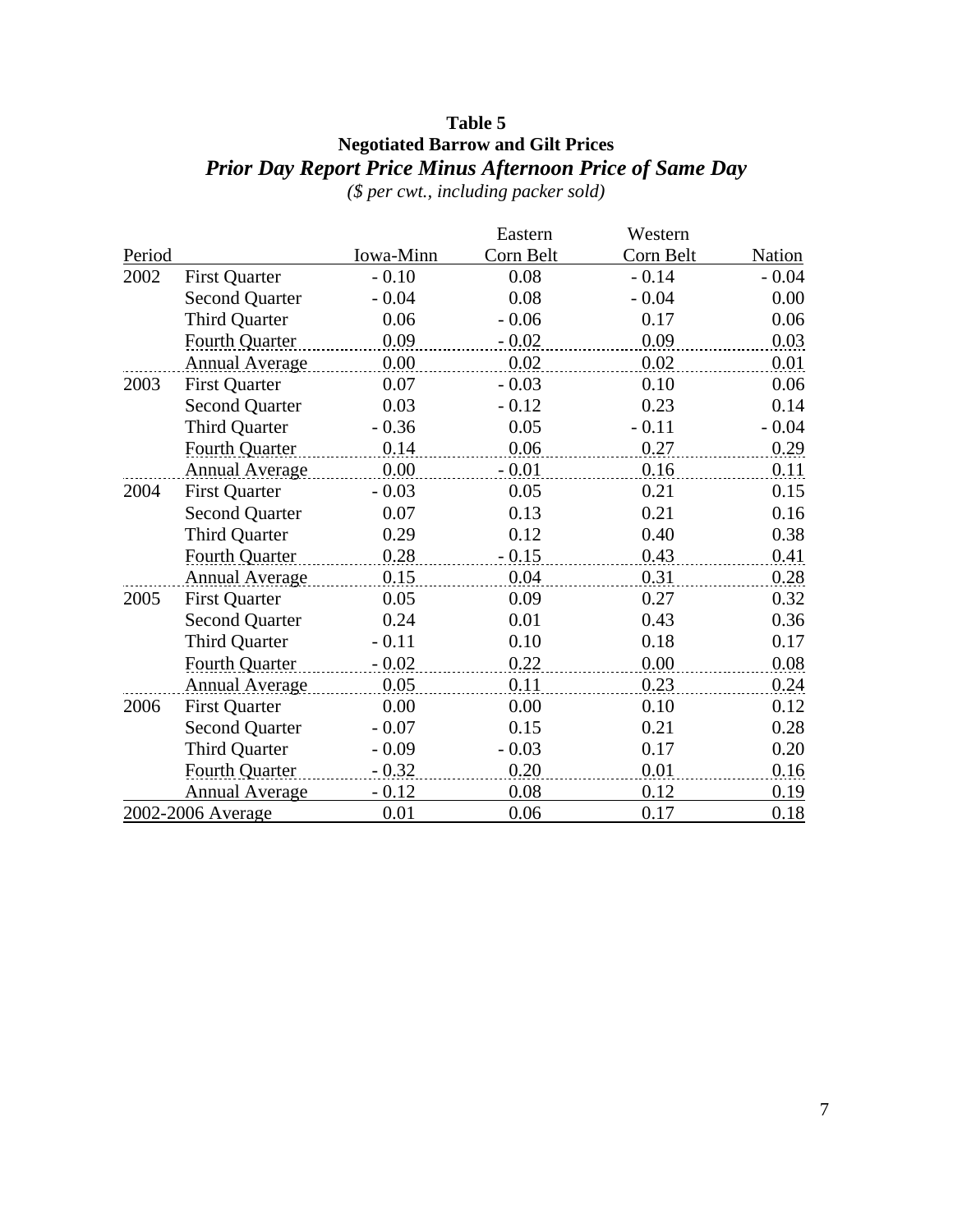## **Table 5 Negotiated Barrow and Gilt Prices**  *Prior Day Report Price Minus Afternoon Price of Same Day*

|        |                       |           | Eastern   | Western   |         |
|--------|-----------------------|-----------|-----------|-----------|---------|
| Period |                       | Iowa-Minn | Corn Belt | Corn Belt | Nation  |
| 2002   | <b>First Quarter</b>  | $-0.10$   | 0.08      | $-0.14$   | $-0.04$ |
|        | <b>Second Quarter</b> | $-0.04$   | 0.08      | $-0.04$   | 0.00    |
|        | Third Quarter         | 0.06      | $-0.06$   | 0.17      | 0.06    |
|        | <b>Fourth Quarter</b> | 0.09      | $-0.02$   | 0.09      | 0.03    |
|        | <b>Annual Average</b> | 0.00      | 0.02      | 0.02      | 0.01    |
| 2003   | <b>First Quarter</b>  | 0.07      | $-0.03$   | 0.10      | 0.06    |
|        | <b>Second Quarter</b> | 0.03      | $-0.12$   | 0.23      | 0.14    |
|        | <b>Third Quarter</b>  | $-0.36$   | 0.05      | $-0.11$   | $-0.04$ |
|        | Fourth Quarter        | 0.14      | 0.06      | 0.27      | 0.29    |
|        | <b>Annual Average</b> | 0.00      | $-0.01$   | 0.16      | 0.11    |
| 2004   | <b>First Quarter</b>  | $-0.03$   | 0.05      | 0.21      | 0.15    |
|        | <b>Second Quarter</b> | 0.07      | 0.13      | 0.21      | 0.16    |
|        | <b>Third Quarter</b>  | 0.29      | 0.12      | 0.40      | 0.38    |
|        | <b>Fourth Quarter</b> | 0.28      | $-0.15$   | 0.43      | 0.41    |
|        | <b>Annual Average</b> | 0.15      | 0.04      | 0.31      | 0.28    |
| 2005   | <b>First Quarter</b>  | 0.05      | 0.09      | 0.27      | 0.32    |
|        | <b>Second Quarter</b> | 0.24      | 0.01      | 0.43      | 0.36    |
|        | Third Quarter         | $-0.11$   | 0.10      | 0.18      | 0.17    |
|        | <b>Fourth Quarter</b> | $-0.02$   | 0.22      | 0.00      | 0.08    |
|        | <b>Annual Average</b> | 0.05      | 0.11      | 0.23      | 0.24    |
| 2006   | <b>First Quarter</b>  | 0.00      | 0.00      | 0.10      | 0.12    |
|        | <b>Second Quarter</b> | $-0.07$   | 0.15      | 0.21      | 0.28    |
|        | <b>Third Quarter</b>  | $-0.09$   | $-0.03$   | 0.17      | 0.20    |
|        | <b>Fourth Quarter</b> | $-0.32$   | 0.20      | 0.01      | 0.16    |
|        | <b>Annual Average</b> | $-0.12$   | 0.08      | 0.12      | 0.19    |
|        | 2002-2006 Average     | 0.01      | 0.06      | 0.17      | 0.18    |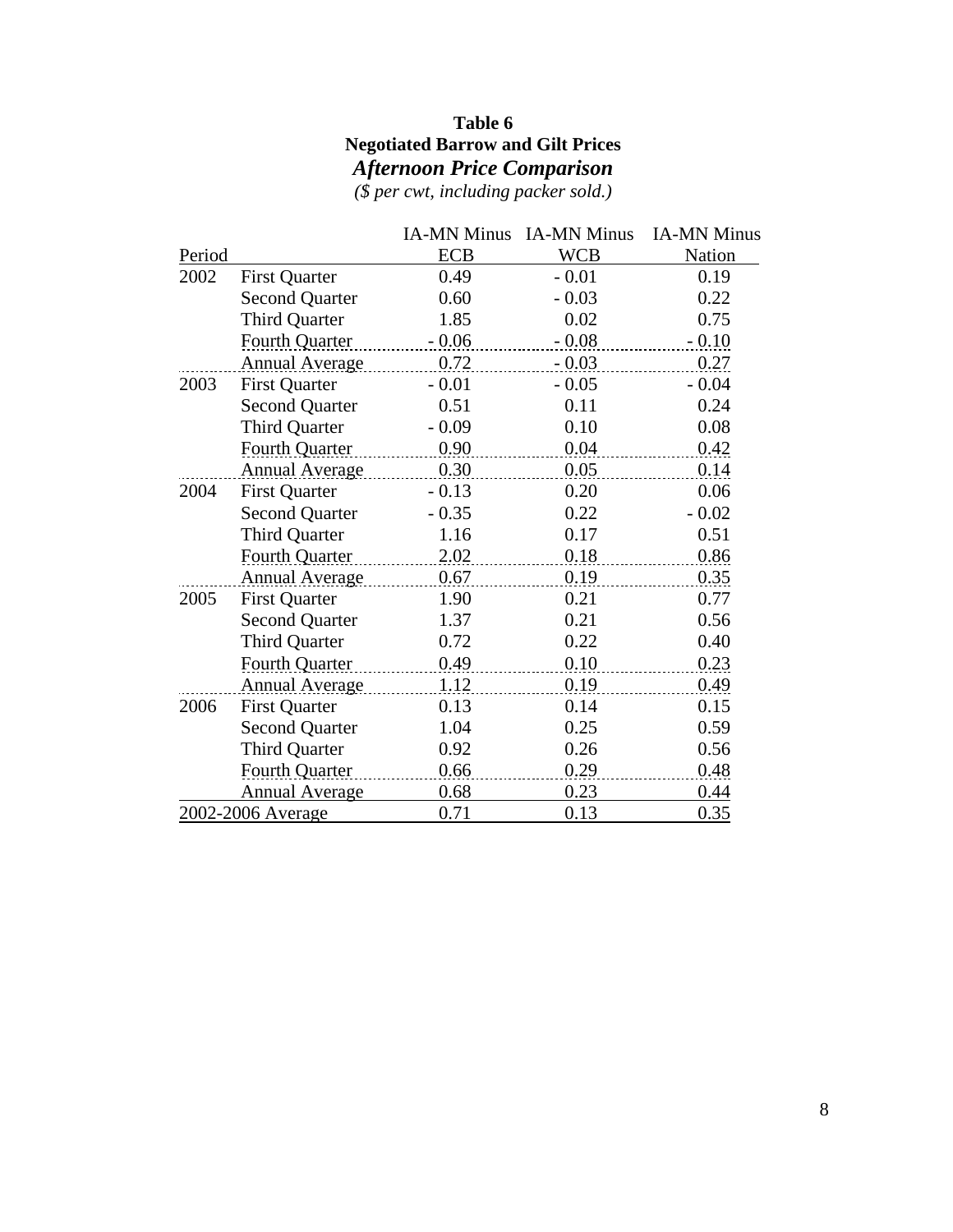# **Table 6 Negotiated Barrow and Gilt Prices**  *Afternoon Price Comparison*

|        |                                       |                  | IA-MN Minus IA-MN Minus | <b>IA-MN Minus</b> |
|--------|---------------------------------------|------------------|-------------------------|--------------------|
| Period |                                       | <b>ECB</b>       | <b>WCB</b>              | Nation             |
| 2002   | <b>First Quarter</b>                  | 0.49             | $-0.01$                 | 0.19               |
|        | <b>Second Quarter</b>                 | 0.60             | $-0.03$                 | 0.22               |
|        | Third Quarter                         | 1.85             | 0.02                    | 0.75               |
|        | Fourth Quarter - 0.06                 |                  | $-0.08$                 | $-0.10$            |
|        | Annual Average 0.72 (0.72 - 0.03 0.27 |                  |                         |                    |
| 2003   | <b>First Quarter</b>                  | $-0.01$          | $-0.05$                 | $-0.04$            |
|        | <b>Second Quarter</b>                 | 0.51             | 0.11                    | 0.24               |
|        | Third Quarter                         | $-0.09$          | 0.10                    | 0.08               |
|        | Fourth Quarter                        | $\frac{0.90}{2}$ | 0.04                    | 0.42               |
|        | Annual Average 0.30                   |                  | 0.05                    | 0.14               |
| 2004   | <b>First Quarter</b>                  | $-0.13$          | 0.20                    | 0.06               |
|        | <b>Second Quarter</b>                 | $-0.35$          | 0.22                    | $-0.02$            |
|        | Third Quarter                         | 1.16             | 0.17                    | 0.51               |
|        | Fourth Quarter 2.02                   |                  | 0.18                    | 0.86               |
|        | Annual Average 0.67                   |                  | 0.19                    | 0.35               |
| 2005   | <b>First Quarter</b>                  | 1.90             | 0.21                    | 0.77               |
|        | <b>Second Quarter</b>                 | 1.37             | 0.21                    | 0.56               |
|        | <b>Third Quarter</b>                  | 0.72             | 0.22                    | 0.40               |
|        | Fourth Quarter                        | 0.49             | 0.10                    | 0.23               |
|        | Annual Average 1.12                   |                  | 0.19                    | 0.49               |
| 2006   | <b>First Quarter</b>                  | 0.13             | 0.14                    | 0.15               |
|        | <b>Second Quarter</b>                 | 1.04             | 0.25                    | 0.59               |
|        | Third Quarter                         | 0.92             | 0.26                    | 0.56               |
|        | Fourth Quarter                        | 0.66             | 0.29                    | 0.48               |
|        | <b>Annual Average</b>                 | 0.68             | 0.23                    | 0.44               |
|        | 2002-2006 Average                     | 0.71             | 0.13                    | 0.35               |